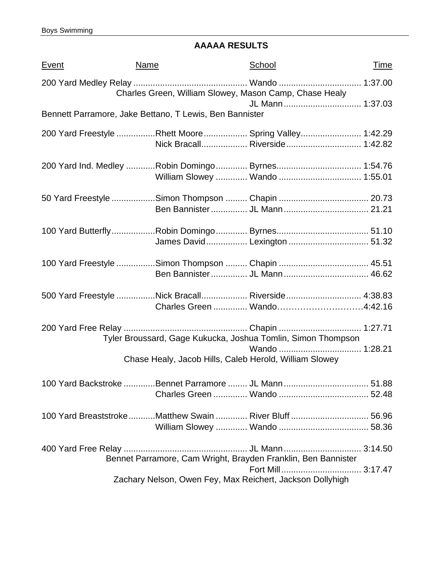# **AAAAA RESULTS**

| <u>Event</u> | <b>Name</b>                                             | School                                                                           | <u>Time</u> |
|--------------|---------------------------------------------------------|----------------------------------------------------------------------------------|-------------|
|              |                                                         | Charles Green, William Slowey, Mason Camp, Chase Healy                           |             |
|              | Bennett Parramore, Jake Bettano, T Lewis, Ben Bannister | JL Mann 1:37.03                                                                  |             |
|              |                                                         | 200 Yard Freestyle Rhett Moore  Spring Valley 1:42.29                            |             |
|              |                                                         |                                                                                  |             |
|              |                                                         | 50 Yard Freestyle Simon Thompson  Chapin  20.73                                  |             |
|              |                                                         | James David Lexington  51.32                                                     |             |
|              |                                                         | 100 Yard Freestyle Simon Thompson  Chapin  45.51                                 |             |
|              |                                                         | 500 Yard Freestyle Nick Bracall Riverside 4:38.83<br>Charles Green  Wando4:42.16 |             |
|              |                                                         | Tyler Broussard, Gage Kukucka, Joshua Tomlin, Simon Thompson                     |             |
|              |                                                         | Chase Healy, Jacob Hills, Caleb Herold, William Slowey                           |             |
|              |                                                         | 100 Yard Backstroke Bennet Parramore  JL Mann  51.88                             |             |
|              |                                                         | 100 Yard BreaststrokeMatthew Swain  River Bluff  56.96                           |             |
|              |                                                         | Bennet Parramore, Cam Wright, Brayden Franklin, Ben Bannister                    |             |
|              |                                                         | Zachary Nelson, Owen Fey, Max Reichert, Jackson Dollyhigh                        |             |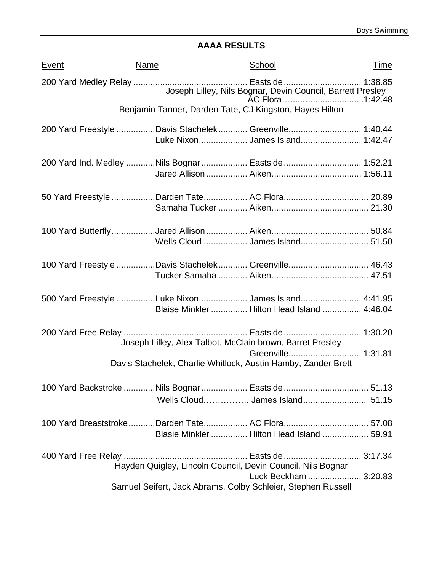## **AAAA RESULTS**

| Event | Name                                                          | School                                                     | <u>Time</u> |
|-------|---------------------------------------------------------------|------------------------------------------------------------|-------------|
|       |                                                               | Joseph Lilley, Nils Bognar, Devin Council, Barrett Presley |             |
|       | Benjamin Tanner, Darden Tate, CJ Kingston, Hayes Hilton       |                                                            |             |
|       | 200 Yard Freestyle Davis Stachelek Greenville 1:40.44         | Luke Nixon James Island 1:42.47                            |             |
|       | 200 Yard Ind. Medley Nils Bognar  Eastside  1:52.21           |                                                            |             |
|       |                                                               |                                                            |             |
|       |                                                               |                                                            |             |
|       | 100 Yard Freestyle Davis Stachelek Greenville 46.43           |                                                            |             |
|       | 500 Yard Freestyle Luke Nixon James Island 4:41.95            | Blaise Minkler  Hilton Head Island  4:46.04                |             |
|       | Joseph Lilley, Alex Talbot, McClain brown, Barret Presley     |                                                            |             |
|       | Davis Stachelek, Charlie Whitlock, Austin Hamby, Zander Brett |                                                            |             |
|       | 100 Yard Backstroke Nils Bognar  Eastside  51.13              |                                                            |             |
|       | 100 Yard BreaststrokeDarden Tate AC Flora 57.08               | Blasie Minkler  Hilton Head Island  59.91                  |             |
|       | Hayden Quigley, Lincoln Council, Devin Council, Nils Bognar   | Luck Beckham  3:20.83                                      |             |
|       | Samuel Seifert, Jack Abrams, Colby Schleier, Stephen Russell  |                                                            |             |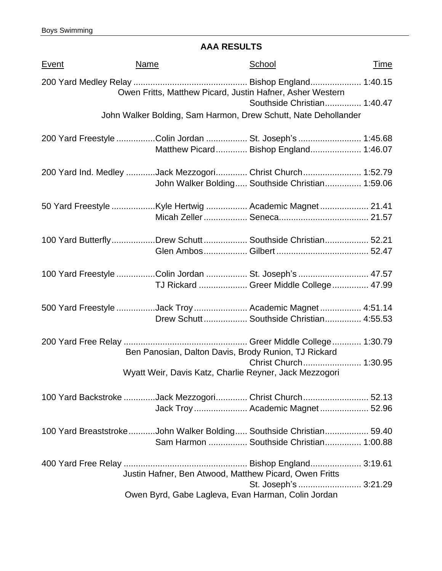### **AAA RESULTS**

| <b>Event</b> | <b>Name</b>                                                        | School                                          | <u>Time</u> |
|--------------|--------------------------------------------------------------------|-------------------------------------------------|-------------|
|              | Owen Fritts, Matthew Picard, Justin Hafner, Asher Western          |                                                 |             |
|              |                                                                    | Southside Christian 1:40.47                     |             |
|              | John Walker Bolding, Sam Harmon, Drew Schutt, Nate Dehollander     |                                                 |             |
|              | 200 Yard Freestyle Colin Jordan  St. Joseph's  1:45.68             |                                                 |             |
|              |                                                                    | Matthew Picard Bishop England 1:46.07           |             |
|              | 200 Yard Ind. Medley Jack Mezzogori Christ Church 1:52.79          |                                                 |             |
|              |                                                                    | John Walker Bolding Southside Christian 1:59.06 |             |
|              |                                                                    |                                                 |             |
|              |                                                                    |                                                 |             |
|              | 100 Yard ButterflyDrew Schutt Southside Christian 52.21            |                                                 |             |
|              |                                                                    |                                                 |             |
|              | 100 Yard Freestyle Colin Jordan  St. Joseph's  47.57               |                                                 |             |
|              |                                                                    | TJ Rickard  Greer Middle College  47.99         |             |
|              | 500 Yard Freestyle Jack Troy  Academic Magnet  4:51.14             |                                                 |             |
|              |                                                                    | Drew Schutt Southside Christian 4:55.53         |             |
|              | Ben Panosian, Dalton Davis, Brody Runion, TJ Rickard               |                                                 |             |
|              |                                                                    |                                                 |             |
|              | Wyatt Weir, Davis Katz, Charlie Reyner, Jack Mezzogori             |                                                 |             |
|              | 100 Yard Backstroke Jack Mezzogori Christ Church 52.13             |                                                 |             |
|              |                                                                    | Jack Troy Academic Magnet 52.96                 |             |
|              | 100 Yard BreaststrokeJohn Walker Bolding Southside Christian 59.40 |                                                 |             |
|              |                                                                    | Sam Harmon  Southside Christian 1:00.88         |             |
|              |                                                                    |                                                 |             |
|              | Justin Hafner, Ben Atwood, Matthew Picard, Owen Fritts             |                                                 |             |
|              |                                                                    | St. Joseph's  3:21.29                           |             |
|              | Owen Byrd, Gabe Lagleva, Evan Harman, Colin Jordan                 |                                                 |             |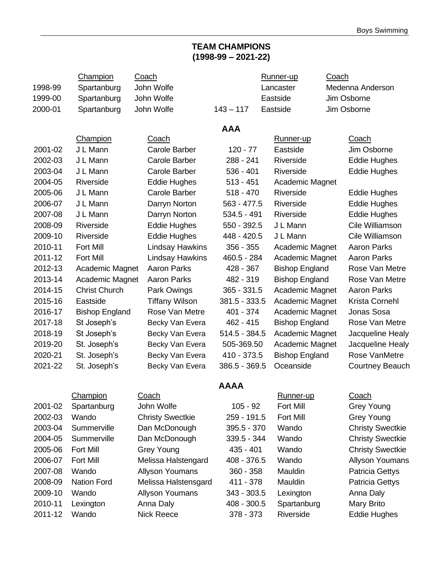### **TEAM CHAMPIONS (1998-99 – 2021-22)**

|         | Champion              | Coach                   |                 | Runner-up             | Coach                   |
|---------|-----------------------|-------------------------|-----------------|-----------------------|-------------------------|
| 1998-99 | Spartanburg           | John Wolfe              |                 | Lancaster             | Medenna Anderson        |
| 1999-00 | Spartanburg           | John Wolfe              |                 | Eastside              | Jim Osborne             |
| 2000-01 | Spartanburg           | John Wolfe              | $143 - 117$     | Eastside              | Jim Osborne             |
|         |                       |                         |                 |                       |                         |
|         | Champion              | <b>Coach</b>            | <b>AAA</b>      | Runner-up             | <b>Coach</b>            |
| 2001-02 | J L Mann              | <b>Carole Barber</b>    | $120 - 77$      | Eastside              | Jim Osborne             |
| 2002-03 | J L Mann              | Carole Barber           | 288 - 241       | Riverside             | <b>Eddie Hughes</b>     |
| 2003-04 | J L Mann              | Carole Barber           | $536 - 401$     | Riverside             | <b>Eddie Hughes</b>     |
| 2004-05 | Riverside             | <b>Eddie Hughes</b>     | $513 - 451$     | Academic Magnet       |                         |
| 2005-06 | J L Mann              | <b>Carole Barber</b>    | $518 - 470$     | Riverside             | Eddie Hughes            |
| 2006-07 | J L Mann              |                         | $563 - 477.5$   | Riverside             | <b>Eddie Hughes</b>     |
|         |                       | Darryn Norton           |                 |                       |                         |
| 2007-08 | J L Mann              | Darryn Norton           | $534.5 - 491$   | Riverside             | <b>Eddie Hughes</b>     |
| 2008-09 | Riverside             | <b>Eddie Hughes</b>     | 550 - 392.5     | J L Mann              | Cile Williamson         |
| 2009-10 | Riverside             | <b>Eddie Hughes</b>     | 448 - 420.5     | J L Mann              | Cile Williamson         |
| 2010-11 | <b>Fort Mill</b>      | <b>Lindsay Hawkins</b>  | $356 - 355$     | Academic Magnet       | <b>Aaron Parks</b>      |
| 2011-12 | <b>Fort Mill</b>      | <b>Lindsay Hawkins</b>  | 460.5 - 284     | Academic Magnet       | <b>Aaron Parks</b>      |
| 2012-13 | Academic Magnet       | <b>Aaron Parks</b>      | 428 - 367       | <b>Bishop England</b> | Rose Van Metre          |
| 2013-14 | Academic Magnet       | <b>Aaron Parks</b>      | 482 - 319       | <b>Bishop England</b> | Rose Van Metre          |
| 2014-15 | <b>Christ Church</b>  | Park Owings             | $365 - 331.5$   | Academic Magnet       | <b>Aaron Parks</b>      |
| 2015-16 | Eastside              | <b>Tiffany Wilson</b>   | 381.5 - 333.5   | Academic Magnet       | Krista Cornehl          |
| 2016-17 | <b>Bishop England</b> | Rose Van Metre          | 401 - 374       | Academic Magnet       | Jonas Sosa              |
| 2017-18 | St Joseph's           | Becky Van Evera         | $462 - 415$     | <b>Bishop England</b> | Rose Van Metre          |
| 2018-19 | St Joseph's           | Becky Van Evera         | $514.5 - 384.5$ | Academic Magnet       | Jacqueline Healy        |
| 2019-20 | St. Joseph's          | Becky Van Evera         | 505-369.50      | Academic Magnet       | Jacqueline Healy        |
| 2020-21 | St. Joseph's          | Becky Van Evera         | 410 - 373.5     | <b>Bishop England</b> | Rose VanMetre           |
| 2021-22 | St. Joseph's          | Becky Van Evera         | 386.5 - 369.5   | Oceanside             | <b>Courtney Beauch</b>  |
|         |                       |                         | <b>AAAA</b>     |                       |                         |
|         | Champion              | Coach                   |                 | Runner-up             | Coach                   |
| 2001-02 | Spartanburg           | John Wolfe              | $105 - 92$      | <b>Fort Mill</b>      | <b>Grey Young</b>       |
| 2002-03 | Wando                 | <b>Christy Swectkie</b> | 259 - 191.5     | Fort Mill             | <b>Grey Young</b>       |
| 2003-04 | Summerville           | Dan McDonough           | 395.5 - 370     | Wando                 | <b>Christy Swectkie</b> |
| 2004-05 | Summerville           | Dan McDonough           | 339.5 - 344     | Wando                 | <b>Christy Swectkie</b> |
| 2005-06 | <b>Fort Mill</b>      | <b>Grey Young</b>       | 435 - 401       | Wando                 | <b>Christy Swectkie</b> |
| 2006-07 | <b>Fort Mill</b>      | Melissa Halstengard     | 408 - 376.5     | Wando                 | <b>Allyson Youmans</b>  |
| 2007-08 | Wando                 | <b>Allyson Youmans</b>  | $360 - 358$     | Mauldin               | <b>Patricia Gettys</b>  |
| 2008-09 | <b>Nation Ford</b>    | Melissa Halstensgard    | 411 - 378       | Mauldin               | <b>Patricia Gettys</b>  |
| 2009-10 | Wando                 | <b>Allyson Youmans</b>  | 343 - 303.5     | Lexington             | Anna Daly               |
| 2010-11 | Lexington             | Anna Daly               | 408 - 300.5     | Spartanburg           | Mary Brito              |
| 2011-12 | Wando                 | Nick Reece              | 378 - 373       | Riverside             | <b>Eddie Hughes</b>     |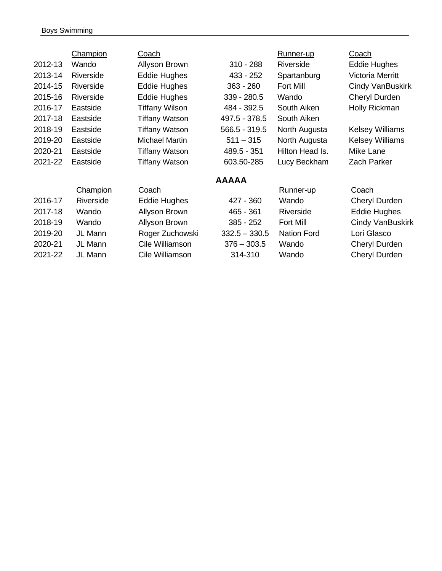#### Boys Swimming

|         | <b>Champion</b> | <u>Coach</u>          |                 | Runner-up          | <b>Coach</b>           |
|---------|-----------------|-----------------------|-----------------|--------------------|------------------------|
| 2012-13 | Wando           | Allyson Brown         | $310 - 288$     | <b>Riverside</b>   | <b>Eddie Hughes</b>    |
| 2013-14 | Riverside       | <b>Eddie Hughes</b>   | 433 - 252       | Spartanburg        | Victoria Merritt       |
| 2014-15 | Riverside       | <b>Eddie Hughes</b>   | $363 - 260$     | <b>Fort Mill</b>   | Cindy VanBuskirk       |
| 2015-16 | Riverside       | <b>Eddie Hughes</b>   | 339 - 280.5     | Wando              | <b>Cheryl Durden</b>   |
| 2016-17 | Eastside        | Tiffany Wilson        | 484 - 392.5     | South Aiken        | Holly Rickman          |
| 2017-18 | Eastside        | <b>Tiffany Watson</b> | 497.5 - 378.5   | South Aiken        |                        |
| 2018-19 | Eastside        | <b>Tiffany Watson</b> | 566.5 - 319.5   | North Augusta      | <b>Kelsey Williams</b> |
| 2019-20 | Eastside        | <b>Michael Martin</b> | $511 - 315$     | North Augusta      | <b>Kelsey Williams</b> |
| 2020-21 | Eastside        | <b>Tiffany Watson</b> | 489.5 - 351     | Hilton Head Is.    | Mike Lane              |
| 2021-22 | Eastside        | Tiffany Watson        | 603.50-285      | Lucy Beckham       | <b>Zach Parker</b>     |
|         |                 |                       | <b>AAAAA</b>    |                    |                        |
|         | Champion        | Coach                 |                 | Runner-up          | Coach                  |
| 2016-17 | Riverside       | <b>Eddie Hughes</b>   | 427 - 360       | Wando              | Cheryl Durden          |
| 2017-18 | Wando           | Allyson Brown         | 465 - 361       | Riverside          | <b>Eddie Hughes</b>    |
| 2018-19 | Wando           | Allyson Brown         | 385 - 252       | <b>Fort Mill</b>   | Cindy VanBuskirk       |
| 2019-20 | JL Mann         | Roger Zuchowski       | $332.5 - 330.5$ | <b>Nation Ford</b> | Lori Glasco            |
| 2020-21 | JL Mann         | Cile Williamson       | $376 - 303.5$   | Wando              | Cheryl Durden          |
| 2021-22 | JL Mann         | Cile Williamson       | 314-310         | Wando              | Cheryl Durden          |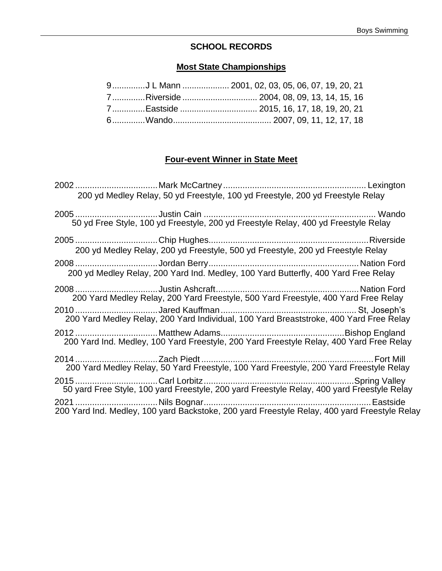### **SCHOOL RECORDS**

### **Most State Championships**

| 9J L Mann  2001, 02, 03, 05, 06, 07, 19, 20, 21 |
|-------------------------------------------------|
|                                                 |
|                                                 |
|                                                 |

### **Four-event Winner in State Meet**

| 200 yd Medley Relay, 50 yd Freestyle, 100 yd Freestyle, 200 yd Freestyle Relay               |  |
|----------------------------------------------------------------------------------------------|--|
| 50 yd Free Style, 100 yd Freestyle, 200 yd Freestyle Relay, 400 yd Freestyle Relay           |  |
| 200 yd Medley Relay, 200 yd Freestyle, 500 yd Freestyle, 200 yd Freestyle Relay              |  |
| 200 yd Medley Relay, 200 Yard Ind. Medley, 100 Yard Butterfly, 400 Yard Free Relay           |  |
| 200 Yard Medley Relay, 200 Yard Freestyle, 500 Yard Freestyle, 400 Yard Free Relay           |  |
| 200 Yard Medley Relay, 200 Yard Individual, 100 Yard Breaststroke, 400 Yard Free Relay       |  |
| 200 Yard Ind. Medley, 100 Yard Freestyle, 200 Yard Freestyle Relay, 400 Yard Free Relay      |  |
| 200 Yard Medley Relay, 50 Yard Freestyle, 100 Yard Freestyle, 200 Yard Freestyle Relay       |  |
|                                                                                              |  |
| 200 Yard Ind. Medley, 100 yard Backstoke, 200 yard Freestyle Relay, 400 yard Freestyle Relay |  |